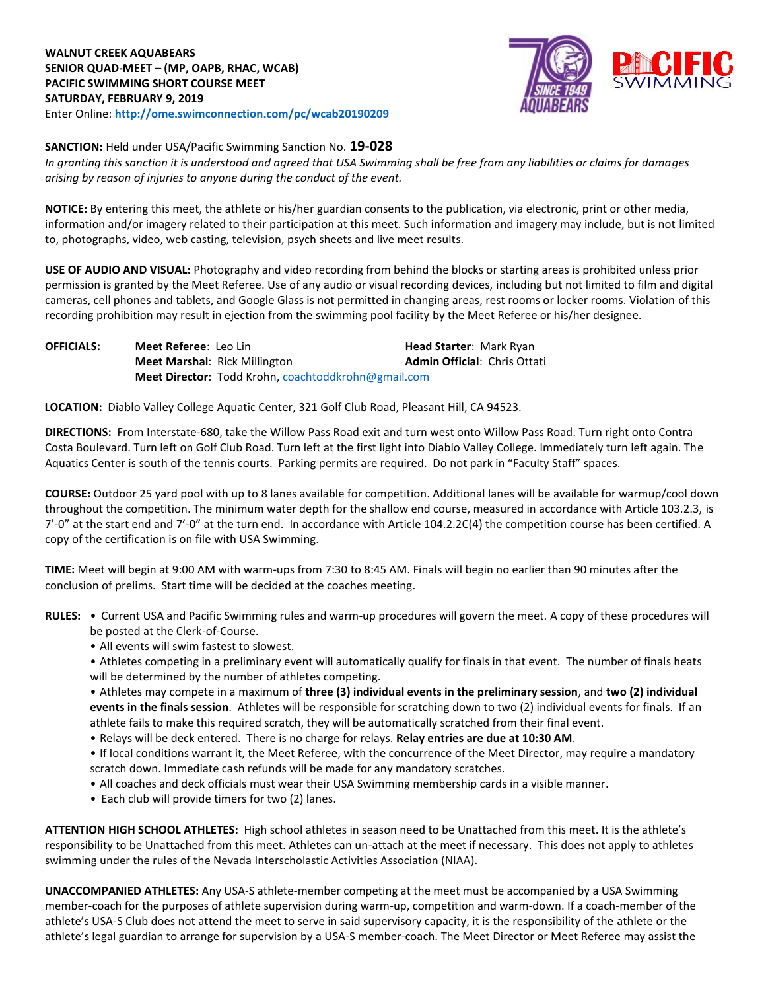

**SANCTION:** Held under USA/Pacific Swimming Sanction No. **19-028**

*In granting this sanction it is understood and agreed that USA Swimming shall be free from any liabilities or claims for damages arising by reason of injuries to anyone during the conduct of the event.* 

**NOTICE:** By entering this meet, the athlete or his/her guardian consents to the publication, via electronic, print or other media, information and/or imagery related to their participation at this meet. Such information and imagery may include, but is not limited to, photographs, video, web casting, television, psych sheets and live meet results.

**USE OF AUDIO AND VISUAL:** Photography and video recording from behind the blocks or starting areas is prohibited unless prior permission is granted by the Meet Referee. Use of any audio or visual recording devices, including but not limited to film and digital cameras, cell phones and tablets, and Google Glass is not permitted in changing areas, rest rooms or locker rooms. Violation of this recording prohibition may result in ejection from the swimming pool facility by the Meet Referee or his/her designee.

| <b>OFFICIALS:</b> | Meet Referee: Leo Lin                                      | <b>Head Starter: Mark Ryan</b>      |  |
|-------------------|------------------------------------------------------------|-------------------------------------|--|
|                   | <b>Meet Marshal: Rick Millington</b>                       | <b>Admin Official: Chris Ottati</b> |  |
|                   | <b>Meet Director:</b> Todd Krohn, coachtoddkrohn@gmail.com |                                     |  |

**LOCATION:** Diablo Valley College Aquatic Center, 321 Golf Club Road, Pleasant Hill, CA 94523.

**DIRECTIONS:** From Interstate‐680, take the Willow Pass Road exit and turn west onto Willow Pass Road. Turn right onto Contra Costa Boulevard. Turn left on Golf Club Road. Turn left at the first light into Diablo Valley College. Immediately turn left again. The Aquatics Center is south of the tennis courts. Parking permits are required. Do not park in "Faculty Staff" spaces.

**COURSE:** Outdoor 25 yard pool with up to 8 lanes available for competition. Additional lanes will be available for warmup/cool down throughout the competition. The minimum water depth for the shallow end course, measured in accordance with Article 103.2.3, is 7'-0" at the start end and 7'-0" at the turn end. In accordance with Article 104.2.2C(4) the competition course has been certified. A copy of the certification is on file with USA Swimming.

**TIME:** Meet will begin at 9:00 AM with warm-ups from 7:30 to 8:45 AM. Finals will begin no earlier than 90 minutes after the conclusion of prelims. Start time will be decided at the coaches meeting.

- **RULES:** Current USA and Pacific Swimming rules and warm-up procedures will govern the meet. A copy of these procedures will be posted at the Clerk-of-Course.
	- All events will swim fastest to slowest.

• Athletes competing in a preliminary event will automatically qualify for finals in that event. The number of finals heats will be determined by the number of athletes competing.

• Athletes may compete in a maximum of **three (3) individual events in the preliminary session**, and **two (2) individual events in the finals session**. Athletes will be responsible for scratching down to two (2) individual events for finals. If an athlete fails to make this required scratch, they will be automatically scratched from their final event.

• Relays will be deck entered. There is no charge for relays. **Relay entries are due at 10:30 AM**.

• If local conditions warrant it, the Meet Referee, with the concurrence of the Meet Director, may require a mandatory scratch down. Immediate cash refunds will be made for any mandatory scratches.

- All coaches and deck officials must wear their USA Swimming membership cards in a visible manner.
- Each club will provide timers for two (2) lanes.

**ATTENTION HIGH SCHOOL ATHLETES:** High school athletes in season need to be Unattached from this meet. It is the athlete's responsibility to be Unattached from this meet. Athletes can un-attach at the meet if necessary. This does not apply to athletes swimming under the rules of the Nevada Interscholastic Activities Association (NIAA).

**UNACCOMPANIED ATHLETES:** Any USA-S athlete-member competing at the meet must be accompanied by a USA Swimming member-coach for the purposes of athlete supervision during warm-up, competition and warm-down. If a coach-member of the athlete's USA-S Club does not attend the meet to serve in said supervisory capacity, it is the responsibility of the athlete or the athlete's legal guardian to arrange for supervision by a USA-S member-coach. The Meet Director or Meet Referee may assist the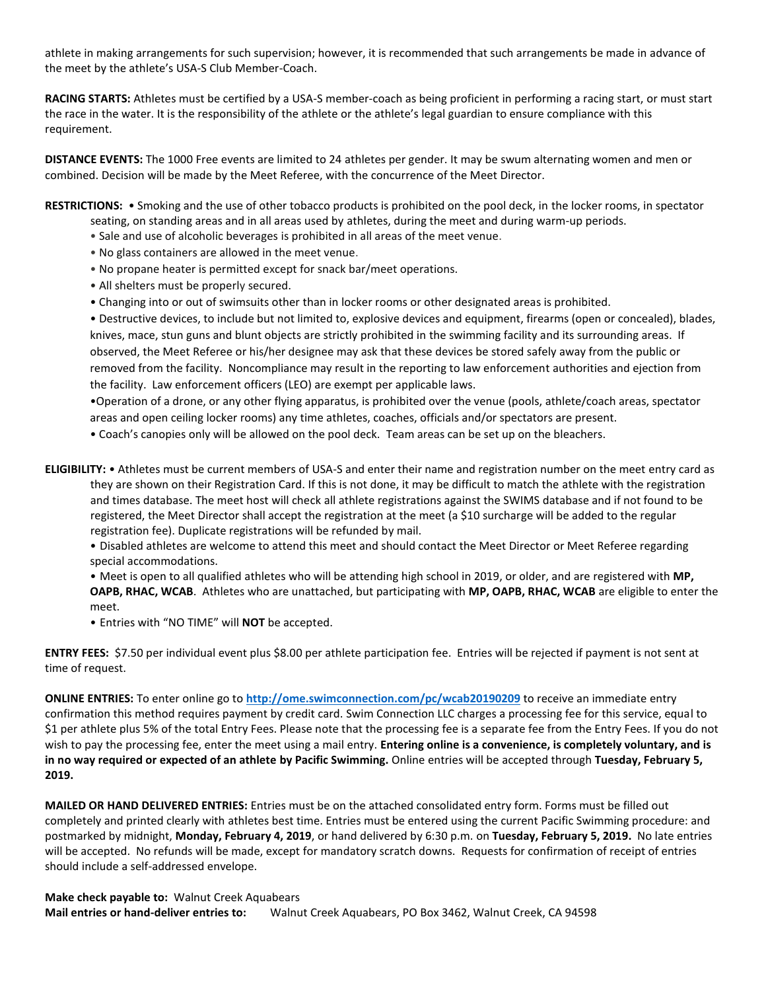athlete in making arrangements for such supervision; however, it is recommended that such arrangements be made in advance of the meet by the athlete's USA-S Club Member-Coach.

**RACING STARTS:** Athletes must be certified by a USA-S member-coach as being proficient in performing a racing start, or must start the race in the water. It is the responsibility of the athlete or the athlete's legal guardian to ensure compliance with this requirement.

**DISTANCE EVENTS:** The 1000 Free events are limited to 24 athletes per gender. It may be swum alternating women and men or combined. Decision will be made by the Meet Referee, with the concurrence of the Meet Director.

**RESTRICTIONS:** • Smoking and the use of other tobacco products is prohibited on the pool deck, in the locker rooms, in spectator

- seating, on standing areas and in all areas used by athletes, during the meet and during warm-up periods.
- Sale and use of alcoholic beverages is prohibited in all areas of the meet venue.
- No glass containers are allowed in the meet venue.
- No propane heater is permitted except for snack bar/meet operations.
- All shelters must be properly secured.
- Changing into or out of swimsuits other than in locker rooms or other designated areas is prohibited.

• Destructive devices, to include but not limited to, explosive devices and equipment, firearms (open or concealed), blades, knives, mace, stun guns and blunt objects are strictly prohibited in the swimming facility and its surrounding areas. If observed, the Meet Referee or his/her designee may ask that these devices be stored safely away from the public or removed from the facility. Noncompliance may result in the reporting to law enforcement authorities and ejection from the facility. Law enforcement officers (LEO) are exempt per applicable laws.

•Operation of a drone, or any other flying apparatus, is prohibited over the venue (pools, athlete/coach areas, spectator areas and open ceiling locker rooms) any time athletes, coaches, officials and/or spectators are present.

• Coach's canopies only will be allowed on the pool deck. Team areas can be set up on the bleachers.

**ELIGIBILITY:** • Athletes must be current members of USA-S and enter their name and registration number on the meet entry card as they are shown on their Registration Card. If this is not done, it may be difficult to match the athlete with the registration and times database. The meet host will check all athlete registrations against the SWIMS database and if not found to be registered, the Meet Director shall accept the registration at the meet (a \$10 surcharge will be added to the regular registration fee). Duplicate registrations will be refunded by mail.

• Disabled athletes are welcome to attend this meet and should contact the Meet Director or Meet Referee regarding special accommodations.

• Meet is open to all qualified athletes who will be attending high school in 2019, or older, and are registered with **MP, OAPB, RHAC, WCAB**. Athletes who are unattached, but participating with **MP, OAPB, RHAC, WCAB** are eligible to enter the meet.

• Entries with "NO TIME" will **NOT** be accepted.

**ENTRY FEES:** \$7.50 per individual event plus \$8.00 per athlete participation fee. Entries will be rejected if payment is not sent at time of request.

**ONLINE ENTRIES:** To enter online go to **http://ome.swimconnection.com/pc/wcab20190209** to receive an immediate entry confirmation this method requires payment by credit card. Swim Connection LLC charges a processing fee for this service, equal to \$1 per athlete plus 5% of the total Entry Fees. Please note that the processing fee is a separate fee from the Entry Fees. If you do not wish to pay the processing fee, enter the meet using a mail entry. **Entering online is a convenience, is completely voluntary, and is in no way required or expected of an athlete by Pacific Swimming.** Online entries will be accepted through **Tuesday, February 5, 2019.** 

**MAILED OR HAND DELIVERED ENTRIES:** Entries must be on the attached consolidated entry form. Forms must be filled out completely and printed clearly with athletes best time. Entries must be entered using the current Pacific Swimming procedure: and postmarked by midnight, **Monday, February 4, 2019**, or hand delivered by 6:30 p.m. on **Tuesday, February 5, 2019.** No late entries will be accepted. No refunds will be made, except for mandatory scratch downs. Requests for confirmation of receipt of entries should include a self-addressed envelope.

**Make check payable to:** Walnut Creek Aquabears **Mail entries or hand-deliver entries to:** Walnut Creek Aquabears, PO Box 3462, Walnut Creek, CA 94598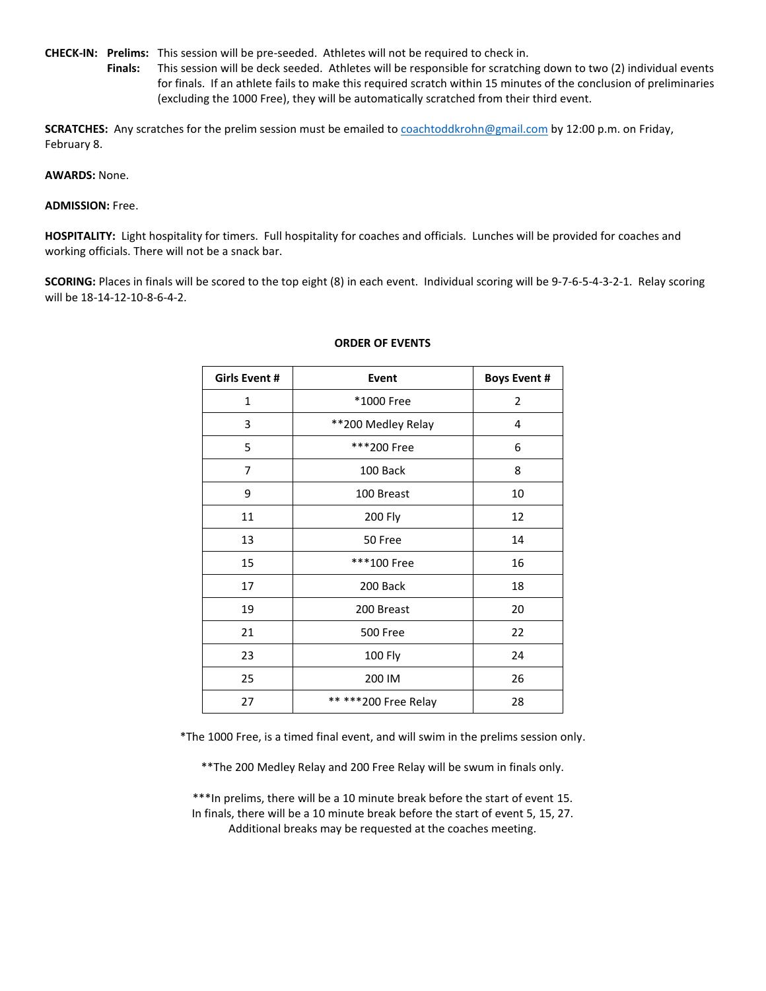**CHECK-IN: Prelims:** This session will be pre-seeded. Athletes will not be required to check in.

**Finals:** This session will be deck seeded. Athletes will be responsible for scratching down to two (2) individual events for finals. If an athlete fails to make this required scratch within 15 minutes of the conclusion of preliminaries (excluding the 1000 Free), they will be automatically scratched from their third event.

**SCRATCHES:** Any scratches for the prelim session must be emailed t[o coachtoddkrohn@gmail.com](mailto:coachtoddkrohn@gmail.com) by 12:00 p.m. on Friday, February 8.

## **AWARDS:** None.

## **ADMISSION:** Free.

**HOSPITALITY:** Light hospitality for timers. Full hospitality for coaches and officials. Lunches will be provided for coaches and working officials. There will not be a snack bar.

**SCORING:** Places in finals will be scored to the top eight (8) in each event. Individual scoring will be 9-7-6-5-4-3-2-1. Relay scoring will be 18-14-12-10-8-6-4-2.

| Girls Event # | <b>Event</b>          | <b>Boys Event #</b> |
|---------------|-----------------------|---------------------|
| 1             | *1000 Free            | $\overline{2}$      |
| 3             | **200 Medley Relay    | 4                   |
| 5             | ***200 Free           | 6                   |
| 7             | 100 Back              | 8                   |
| 9             | 100 Breast            | 10                  |
| 11            | 200 Fly               | 12                  |
| 13            | 50 Free               | 14                  |
| 15            | ***100 Free           | 16                  |
| 17            | 200 Back              | 18                  |
| 19            | 200 Breast            | 20                  |
| 21            | <b>500 Free</b>       | 22                  |
| 23            | 100 Fly               | 24                  |
| 25            | 200 IM                | 26                  |
| 27            | ** *** 200 Free Relay | 28                  |

## **ORDER OF EVENTS**

\*The 1000 Free, is a timed final event, and will swim in the prelims session only.

\*\*The 200 Medley Relay and 200 Free Relay will be swum in finals only.

\*\*\*In prelims, there will be a 10 minute break before the start of event 15. In finals, there will be a 10 minute break before the start of event 5, 15, 27. Additional breaks may be requested at the coaches meeting.